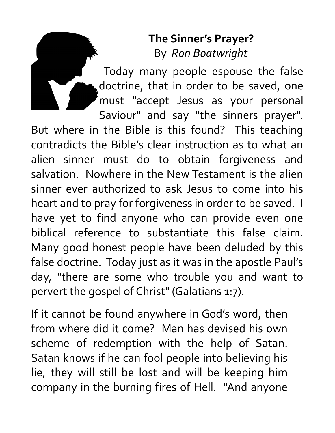## **The Sinner's Prayer?** By *Ron Boatwright*

Today many people espouse the false doctrine, that in order to be saved, one must "accept Jesus as your personal Saviour" and say "the sinners prayer".

But where in the Bible is this found? This teaching contradicts the Bible's clear instruction as to what an alien sinner must do to obtain forgiveness and salvation. Nowhere in the New Testament is the alien sinner ever authorized to ask Jesus to come into his heart and to pray for forgiveness in order to be saved. I have yet to find anyone who can provide even one biblical reference to substantiate this false claim. Many good honest people have been deluded by this false doctrine. Today just as it was in the apostle Paul's day, "there are some who trouble you and want to pervert the gospel of Christ" (Galatians 1:7).

If it cannot be found anywhere in God's word, then from where did it come? Man has devised his own scheme of redemption with the help of Satan. Satan knows if he can fool people into believing his lie, they will still be lost and will be keeping him company in the burning fires of Hell. "And anyone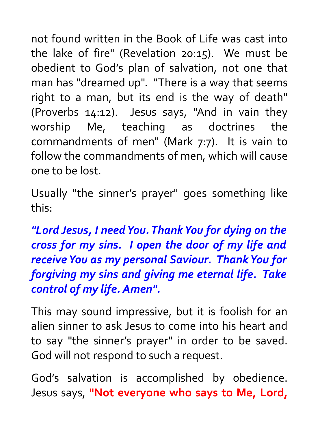not found written in the Book of Life was cast into the lake of fire" (Revelation 20:15). We must be obedient to God's plan of salvation, not one that man has "dreamed up". "There is a way that seems right to a man, but its end is the way of death" (Proverbs 14:12). Jesus says, "And in vain they worship Me, teaching as doctrines the commandments of men" (Mark 7:7). It is vain to follow the commandments of men, which will cause one to be lost.

Usually "the sinner's prayer" goes something like this:

*"Lord Jesus, I need You. Thank You for dying on the cross for my sins. I open the door of my life and receive You as my personal Saviour. Thank You for forgiving my sins and giving me eternal life. Take control of my life. Amen".* 

This may sound impressive, but it is foolish for an alien sinner to ask Jesus to come into his heart and to say "the sinner's prayer" in order to be saved. God will not respond to such a request.

God's salvation is accomplished by obedience. Jesus says, **"Not everyone who says to Me, Lord,**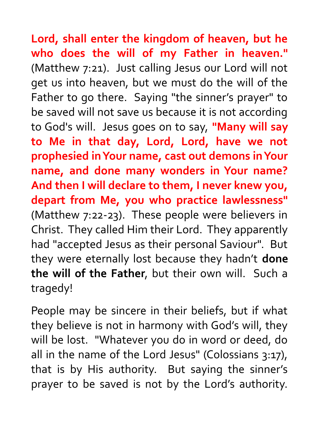**Lord, shall enter the kingdom of heaven, but he who does the will of my Father in heaven."** (Matthew 7:21). Just calling Jesus our Lord will not get us into heaven, but we must do the will of the Father to go there. Saying "the sinner's prayer" to be saved will not save us because it is not according to God's will. Jesus goes on to say, **"Many will say to Me in that day, Lord, Lord, have we not prophesied in Your name, cast out demons in Your name, and done many wonders in Your name? And then I will declare to them, I never knew you, depart from Me, you who practice lawlessness"** (Matthew 7:22-23). These people were believers in Christ. They called Him their Lord. They apparently had "accepted Jesus as their personal Saviour". But they were eternally lost because they hadn't **done the will of the Father**, but their own will. Such a tragedy!

People may be sincere in their beliefs, but if what they believe is not in harmony with God's will, they will be lost. "Whatever you do in word or deed, do all in the name of the Lord Jesus" (Colossians 3:17), that is by His authority. But saying the sinner's prayer to be saved is not by the Lord's authority.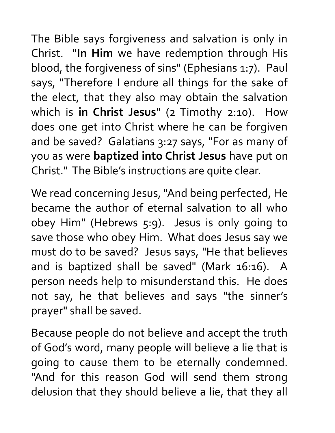The Bible says forgiveness and salvation is only in Christ. "**In Him** we have redemption through His blood, the forgiveness of sins" (Ephesians 1:7). Paul says, "Therefore I endure all things for the sake of the elect, that they also may obtain the salvation which is **in Christ Jesus**" (2 Timothy 2:10). How does one get into Christ where he can be forgiven and be saved? Galatians 3:27 says, "For as many of you as were **baptized into Christ Jesus** have put on Christ." The Bible's instructions are quite clear.

We read concerning Jesus, "And being perfected, He became the author of eternal salvation to all who obey Him" (Hebrews 5:9). Jesus is only going to save those who obey Him. What does Jesus say we must do to be saved? Jesus says, "He that believes and is baptized shall be saved" (Mark 16:16). A person needs help to misunderstand this. He does not say, he that believes and says "the sinner's prayer" shall be saved.

Because people do not believe and accept the truth of God's word, many people will believe a lie that is going to cause them to be eternally condemned. "And for this reason God will send them strong delusion that they should believe a lie, that they all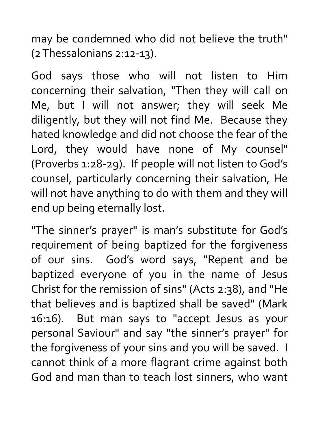may be condemned who did not believe the truth" (2 Thessalonians 2:12-13).

God says those who will not listen to Him concerning their salvation, "Then they will call on Me, but I will not answer; they will seek Me diligently, but they will not find Me. Because they hated knowledge and did not choose the fear of the Lord, they would have none of My counsel" (Proverbs 1:28-29). If people will not listen to God's counsel, particularly concerning their salvation, He will not have anything to do with them and they will end up being eternally lost.

"The sinner's prayer" is man's substitute for God's requirement of being baptized for the forgiveness of our sins. God's word says, "Repent and be baptized everyone of you in the name of Jesus Christ for the remission of sins" (Acts 2:38), and "He that believes and is baptized shall be saved" (Mark 16:16). But man says to "accept Jesus as your personal Saviour" and say "the sinner's prayer" for the forgiveness of your sins and you will be saved. I cannot think of a more flagrant crime against both God and man than to teach lost sinners, who want